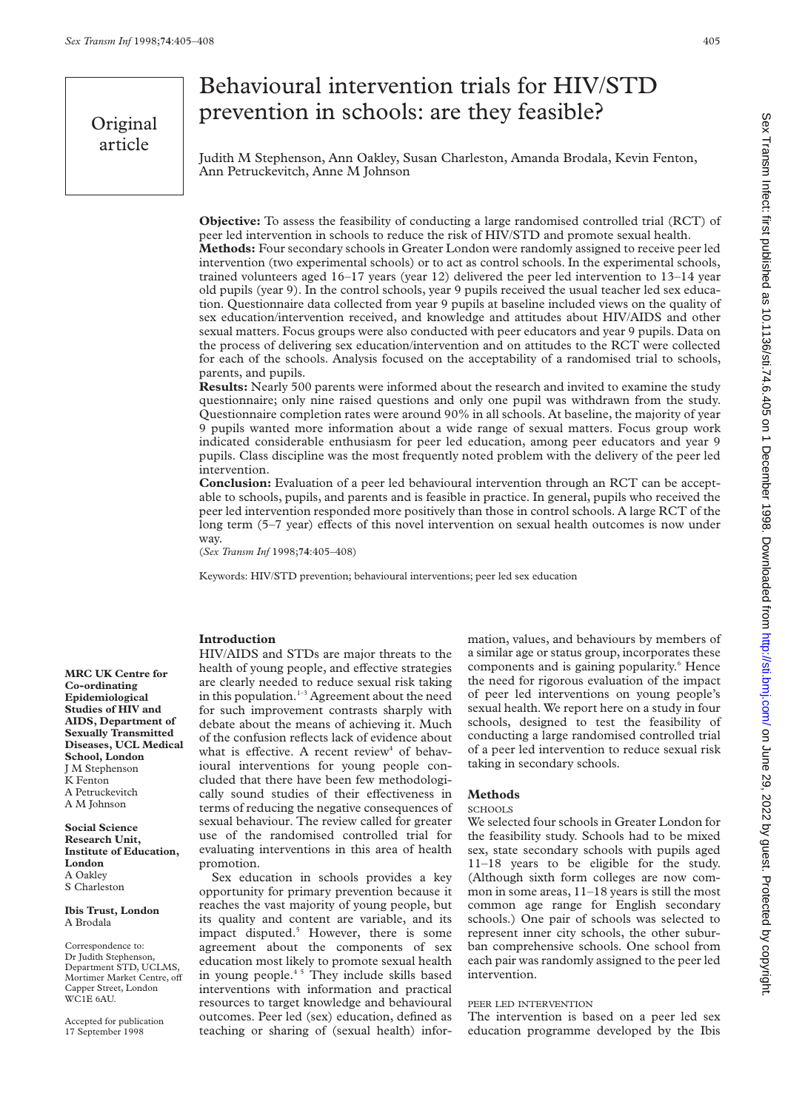Original article

# Behavioural intervention trials for HIV/STD prevention in schools: are they feasible?

Judith M Stephenson, Ann Oakley, Susan Charleston, Amanda Brodala, Kevin Fenton, Ann Petruckevitch, Anne M Johnson

**Objective:** To assess the feasibility of conducting a large randomised controlled trial (RCT) of peer led intervention in schools to reduce the risk of HIV/STD and promote sexual health.

**Methods:** Four secondary schools in Greater London were randomly assigned to receive peer led intervention (two experimental schools) or to act as control schools. In the experimental schools, trained volunteers aged 16–17 years (year 12) delivered the peer led intervention to 13–14 year old pupils (year 9). In the control schools, year 9 pupils received the usual teacher led sex education. Questionnaire data collected from year 9 pupils at baseline included views on the quality of sex education/intervention received, and knowledge and attitudes about HIV/AIDS and other sexual matters. Focus groups were also conducted with peer educators and year 9 pupils. Data on the process of delivering sex education/intervention and on attitudes to the RCT were collected for each of the schools. Analysis focused on the acceptability of a randomised trial to schools, parents, and pupils.

**Results:** Nearly 500 parents were informed about the research and invited to examine the study questionnaire; only nine raised questions and only one pupil was withdrawn from the study. Questionnaire completion rates were around 90% in all schools. At baseline, the majority of year 9 pupils wanted more information about a wide range of sexual matters. Focus group work indicated considerable enthusiasm for peer led education, among peer educators and year 9 pupils. Class discipline was the most frequently noted problem with the delivery of the peer led intervention.

**Conclusion:** Evaluation of a peer led behavioural intervention through an RCT can be acceptable to schools, pupils, and parents and is feasible in practice. In general, pupils who received the peer led intervention responded more positively than those in control schools. A large RCT of the long term (5–7 year) effects of this novel intervention on sexual health outcomes is now under way.

(*Sex Transm Inf* 1998;**74**:405–408)

Keywords: HIV/STD prevention; behavioural interventions; peer led sex education

## **Introduction**

HIV/AIDS and STDs are major threats to the health of young people, and effective strategies are clearly needed to reduce sexual risk taking in this population.<sup>1-3</sup> Agreement about the need for such improvement contrasts sharply with debate about the means of achieving it. Much of the confusion reflects lack of evidence about what is effective. A recent review<sup>4</sup> of behavioural interventions for young people concluded that there have been few methodologically sound studies of their effectiveness in terms of reducing the negative consequences of sexual behaviour. The review called for greater use of the randomised controlled trial for evaluating interventions in this area of health promotion.

Sex education in schools provides a key opportunity for primary prevention because it reaches the vast majority of young people, but its quality and content are variable, and its impact disputed.<sup>5</sup> However, there is some agreement about the components of sex education most likely to promote sexual health in young people.4 5 They include skills based interventions with information and practical resources to target knowledge and behavioural outcomes. Peer led (sex) education, defined as teaching or sharing of (sexual health) information, values, and behaviours by members of a similar age or status group, incorporates these components and is gaining popularity.<sup>6</sup> Hence the need for rigorous evaluation of the impact of peer led interventions on young people's sexual health. We report here on a study in four schools, designed to test the feasibility of conducting a large randomised controlled trial of a peer led intervention to reduce sexual risk taking in secondary schools.

## **Methods**

## SCHOOLS

We selected four schools in Greater London for the feasibility study. Schools had to be mixed sex, state secondary schools with pupils aged 11–18 years to be eligible for the study. (Although sixth form colleges are now common in some areas, 11–18 years is still the most common age range for English secondary schools.) One pair of schools was selected to represent inner city schools, the other suburban comprehensive schools. One school from each pair was randomly assigned to the peer led intervention.

## PEER LED INTERVENTION

The intervention is based on a peer led sex education programme developed by the Ibis

**MRC UK Centre for Co-ordinating Epidemiological Studies of HIV and AIDS, Department of Sexually Transmitted Diseases, UCL Medical School, London** J M Stephenson K Fenton A Petruckevitch A M Johnson

**Social Science Research Unit, Institute of Education, London** A Oakley S Charleston

#### **Ibis Trust, London** A Brodala

Correspondence to: Dr Judith Stephenson, Department STD, UCLMS, Mortimer Market Centre, off Capper Street, London WC1E 6AU.

Accepted for publication 17 September 1998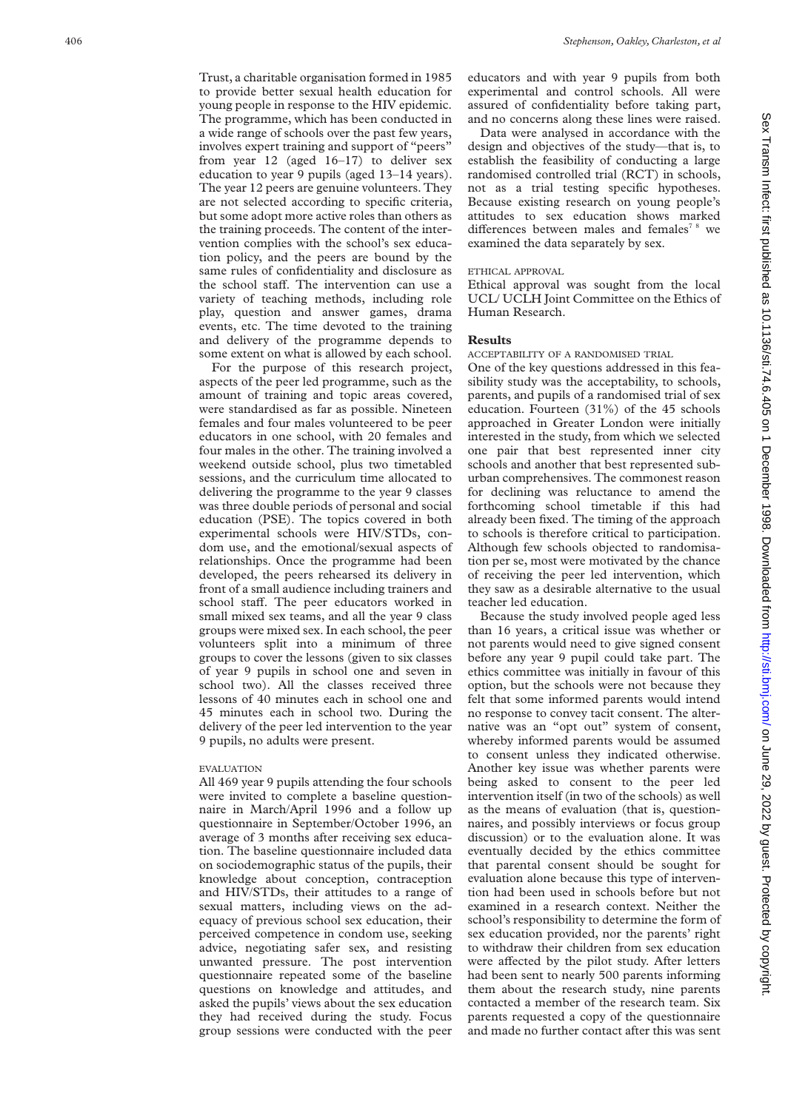Trust, a charitable organisation formed in 1985 to provide better sexual health education for young people in response to the HIV epidemic. The programme, which has been conducted in a wide range of schools over the past few years, involves expert training and support of "peers" from year 12 (aged 16–17) to deliver sex education to year 9 pupils (aged 13–14 years). The year 12 peers are genuine volunteers. They are not selected according to specific criteria, but some adopt more active roles than others as the training proceeds. The content of the intervention complies with the school's sex education policy, and the peers are bound by the same rules of confidentiality and disclosure as the school staff. The intervention can use a variety of teaching methods, including role play, question and answer games, drama events, etc. The time devoted to the training and delivery of the programme depends to some extent on what is allowed by each school.

For the purpose of this research project, aspects of the peer led programme, such as the amount of training and topic areas covered, were standardised as far as possible. Nineteen females and four males volunteered to be peer educators in one school, with 20 females and four males in the other. The training involved a weekend outside school, plus two timetabled sessions, and the curriculum time allocated to delivering the programme to the year 9 classes was three double periods of personal and social education (PSE). The topics covered in both experimental schools were HIV/STDs, condom use, and the emotional/sexual aspects of relationships. Once the programme had been developed, the peers rehearsed its delivery in front of a small audience including trainers and school staff. The peer educators worked in small mixed sex teams, and all the year 9 class groups were mixed sex. In each school, the peer volunteers split into a minimum of three groups to cover the lessons (given to six classes of year 9 pupils in school one and seven in school two). All the classes received three lessons of 40 minutes each in school one and 45 minutes each in school two. During the delivery of the peer led intervention to the year 9 pupils, no adults were present.

#### EVALUATION

All 469 year 9 pupils attending the four schools were invited to complete a baseline questionnaire in March/April 1996 and a follow up questionnaire in September/October 1996, an average of 3 months after receiving sex education. The baseline questionnaire included data on sociodemographic status of the pupils, their knowledge about conception, contraception and HIV/STDs, their attitudes to a range of sexual matters, including views on the adequacy of previous school sex education, their perceived competence in condom use, seeking advice, negotiating safer sex, and resisting unwanted pressure. The post intervention questionnaire repeated some of the baseline questions on knowledge and attitudes, and asked the pupils' views about the sex education they had received during the study. Focus group sessions were conducted with the peer

educators and with year 9 pupils from both experimental and control schools. All were assured of confidentiality before taking part, and no concerns along these lines were raised.

Data were analysed in accordance with the design and objectives of the study—that is, to establish the feasibility of conducting a large randomised controlled trial (RCT) in schools, not as a trial testing specific hypotheses. Because existing research on young people's attitudes to sex education shows marked differences between males and females<sup>7  $\text{8}$ </sup> we examined the data separately by sex.

#### ETHICAL APPROVAL

Ethical approval was sought from the local UCL/ UCLH Joint Committee on the Ethics of Human Research.

## **Results**

ACCEPTABILITY OF A RANDOMISED TRIAL

One of the key questions addressed in this feasibility study was the acceptability, to schools, parents, and pupils of a randomised trial of sex education. Fourteen (31%) of the 45 schools approached in Greater London were initially interested in the study, from which we selected one pair that best represented inner city schools and another that best represented suburban comprehensives. The commonest reason for declining was reluctance to amend the forthcoming school timetable if this had already been fixed. The timing of the approach to schools is therefore critical to participation. Although few schools objected to randomisation per se, most were motivated by the chance of receiving the peer led intervention, which they saw as a desirable alternative to the usual teacher led education.

Because the study involved people aged less than 16 years, a critical issue was whether or not parents would need to give signed consent before any year 9 pupil could take part. The ethics committee was initially in favour of this option, but the schools were not because they felt that some informed parents would intend no response to convey tacit consent. The alternative was an "opt out" system of consent, whereby informed parents would be assumed to consent unless they indicated otherwise. Another key issue was whether parents were being asked to consent to the peer led intervention itself (in two of the schools) as well as the means of evaluation (that is, questionnaires, and possibly interviews or focus group discussion) or to the evaluation alone. It was eventually decided by the ethics committee that parental consent should be sought for evaluation alone because this type of intervention had been used in schools before but not examined in a research context. Neither the school's responsibility to determine the form of sex education provided, nor the parents' right to withdraw their children from sex education were affected by the pilot study. After letters had been sent to nearly 500 parents informing them about the research study, nine parents contacted a member of the research team. Six parents requested a copy of the questionnaire and made no further contact after this was sent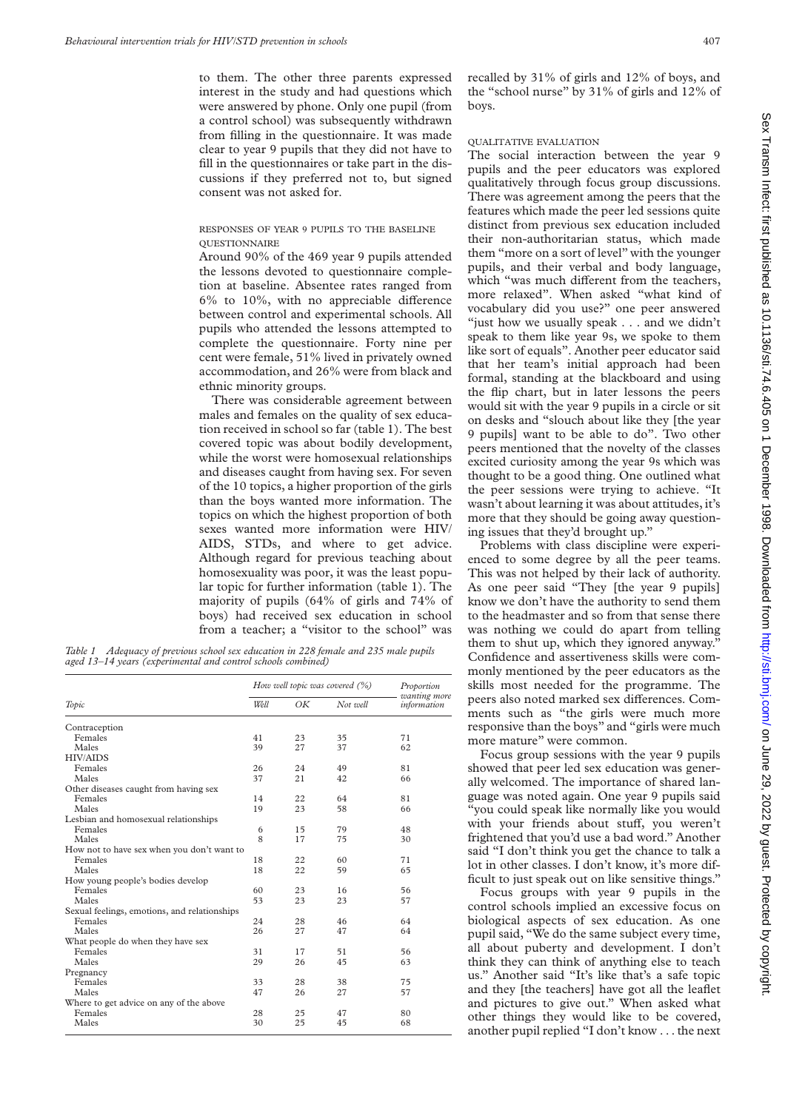to them. The other three parents expressed interest in the study and had questions which were answered by phone. Only one pupil (from a control school) was subsequently withdrawn from filling in the questionnaire. It was made clear to year 9 pupils that they did not have to fill in the questionnaires or take part in the discussions if they preferred not to, but signed consent was not asked for.

### RESPONSES OF YEAR 9 PUPILS TO THE BASELINE **OUESTIONNAIRE**

Around 90% of the 469 year 9 pupils attended the lessons devoted to questionnaire completion at baseline. Absentee rates ranged from  $6\%$  to  $10\%$ , with no appreciable difference between control and experimental schools. All pupils who attended the lessons attempted to complete the questionnaire. Forty nine per cent were female, 51% lived in privately owned accommodation, and 26% were from black and ethnic minority groups.

There was considerable agreement between males and females on the quality of sex education received in school so far (table 1). The best covered topic was about bodily development, while the worst were homosexual relationships and diseases caught from having sex. For seven of the 10 topics, a higher proportion of the girls than the boys wanted more information. The topics on which the highest proportion of both sexes wanted more information were HIV/ AIDS, STDs, and where to get advice. Although regard for previous teaching about homosexuality was poor, it was the least popular topic for further information (table 1). The majority of pupils (64% of girls and 74% of boys) had received sex education in school from a teacher; a "visitor to the school" was

*Table 1 Adequacy of previous school sex education in 228 female and 235 male pupils aged 13–14 years (experimental and control schools combined)*

| Topic                                        | How well topic was covered $(\%)$ |    |          | Proportion                  |
|----------------------------------------------|-----------------------------------|----|----------|-----------------------------|
|                                              | Well                              | OK | Not well | wanting more<br>information |
| Contraception                                |                                   |    |          |                             |
| Females                                      | 41                                | 23 | 35       | 71                          |
| Males                                        | 39                                | 27 | 37       | 62                          |
| <b>HIV/AIDS</b>                              |                                   |    |          |                             |
| Females                                      | 26                                | 24 | 49       | 81                          |
| Males                                        | 37                                | 21 | 42       | 66                          |
| Other diseases caught from having sex        |                                   |    |          |                             |
| Females                                      | 14                                | 22 | 64       | 81                          |
| Males                                        | 19                                | 23 | 58       | 66                          |
| Lesbian and homosexual relationships         |                                   |    |          |                             |
| Females                                      | 6                                 | 15 | 79       | 48                          |
| Males                                        | 8                                 | 17 | 75       | 30                          |
| How not to have sex when you don't want to   |                                   |    |          |                             |
| Females                                      | 18                                | 22 | 60       | 71                          |
| Males                                        | 18                                | 22 | 59       | 65                          |
| How young people's bodies develop            |                                   |    |          |                             |
| Females                                      | 60                                | 23 | 16       | 56                          |
| Males                                        | 53                                | 23 | 23       | 57                          |
| Sexual feelings, emotions, and relationships |                                   |    |          |                             |
| Females                                      | 24                                | 28 | 46       | 64                          |
| Males                                        | 26                                | 27 | 47       | 64                          |
| What people do when they have sex            |                                   |    |          |                             |
| Females                                      | 31                                | 17 | 51       | 56                          |
| Males                                        | 29                                | 26 | 45       | 63                          |
| Pregnancy                                    |                                   |    |          |                             |
| Females                                      | 33                                | 28 | 38       | 75                          |
| Males                                        | 47                                | 26 | 27       | 57                          |
| Where to get advice on any of the above      |                                   |    |          |                             |
| Females                                      | 28                                | 25 | 47       | 80                          |
| Males                                        | 30                                | 25 | 45       | 68                          |
|                                              |                                   |    |          |                             |

recalled by 31% of girls and 12% of boys, and the "school nurse" by 31% of girls and 12% of boys.

## QUALITATIVE EVALUATION

The social interaction between the year 9 pupils and the peer educators was explored qualitatively through focus group discussions. There was agreement among the peers that the features which made the peer led sessions quite distinct from previous sex education included their non-authoritarian status, which made them "more on a sort of level" with the younger pupils, and their verbal and body language, which "was much different from the teachers, more relaxed". When asked "what kind of vocabulary did you use?" one peer answered "just how we usually speak . . . and we didn't speak to them like year 9s, we spoke to them like sort of equals". Another peer educator said that her team's initial approach had been formal, standing at the blackboard and using the flip chart, but in later lessons the peers would sit with the year 9 pupils in a circle or sit on desks and "slouch about like they [the year 9 pupils] want to be able to do". Two other peers mentioned that the novelty of the classes excited curiosity among the year 9s which was thought to be a good thing. One outlined what the peer sessions were trying to achieve. "It wasn't about learning it was about attitudes, it's more that they should be going away questioning issues that they'd brought up."

Problems with class discipline were experienced to some degree by all the peer teams. This was not helped by their lack of authority. As one peer said "They [the year 9 pupils] know we don't have the authority to send them to the headmaster and so from that sense there was nothing we could do apart from telling them to shut up, which they ignored anyway." Confidence and assertiveness skills were commonly mentioned by the peer educators as the skills most needed for the programme. The peers also noted marked sex differences. Comments such as "the girls were much more responsive than the boys" and "girls were much more mature" were common.

Focus group sessions with the year 9 pupils showed that peer led sex education was generally welcomed. The importance of shared language was noted again. One year 9 pupils said "you could speak like normally like you would with your friends about stuff, you weren't frightened that you'd use a bad word." Another said "I don't think you get the chance to talk a lot in other classes. I don't know, it's more difficult to just speak out on like sensitive things."

Focus groups with year 9 pupils in the control schools implied an excessive focus on biological aspects of sex education. As one pupil said, "We do the same subject every time, all about puberty and development. I don't think they can think of anything else to teach us." Another said "It's like that's a safe topic and they [the teachers] have got all the leaflet and pictures to give out." When asked what other things they would like to be covered, another pupil replied "I don't know . . . the next